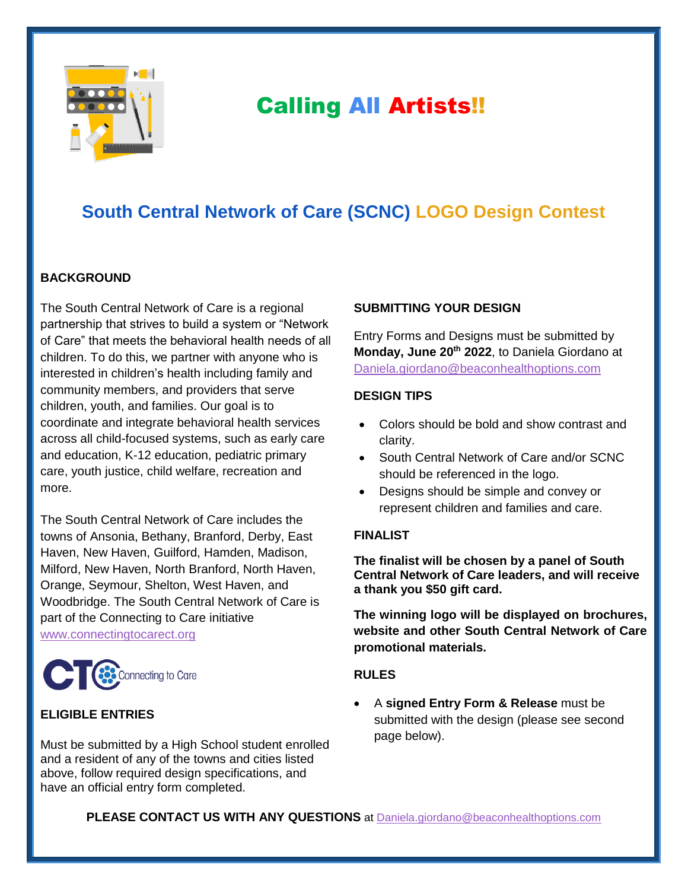

# Calling All Artists!!

# **South Central Network of Care (SCNC) LOGO Design Contest**

### **BACKGROUND**

The South Central Network of Care is a regional partnership that strives to build a system or "Network of Care" that meets the behavioral health needs of all children. To do this, we partner with anyone who is interested in children's health including family and community members, and providers that serve children, youth, and families. Our goal is to coordinate and integrate behavioral health services across all child-focused systems, such as early care and education, K-12 education, pediatric primary care, youth justice, child welfare, recreation and more.

The South Central Network of Care includes the towns of Ansonia, Bethany, Branford, Derby, East Haven, New Haven, Guilford, Hamden, Madison, Milford, New Haven, North Branford, North Haven, Orange, Seymour, Shelton, West Haven, and Woodbridge. The South Central Network of Care is part of the Connecting to Care initiative [www.connectingtocarect.org](http://www.connectingtocarect.org/)



## **ELIGIBLE ENTRIES**

Must be submitted by a High School student enrolled and a resident of any of the towns and cities listed above, follow required design specifications, and have an official entry form completed.

#### **SUBMITTING YOUR DESIGN**

Entry Forms and Designs must be submitted by **Monday, June 20th 2022**, to Daniela Giordano at [Daniela.giordano@beaconhealthoptions.com](mailto:Daniela.giordano@beaconhealthoptions.com)

#### **DESIGN TIPS**

- Colors should be bold and show contrast and clarity.
- South Central Network of Care and/or SCNC should be referenced in the logo.
- Designs should be simple and convey or represent children and families and care.

#### **FINALIST**

**The finalist will be chosen by a panel of South Central Network of Care leaders, and will receive a thank you \$50 gift card.** 

**The winning logo will be displayed on brochures, website and other South Central Network of Care promotional materials.**

#### **RULES**

 A **signed Entry Form & Release** must be submitted with the design (please see second page below).

**PLEASE CONTACT US WITH ANY QUESTIONS** at [Daniela.giordano@beaconhealthoptions.com](mailto:Daniela.giordano@beaconhealthoptions.com)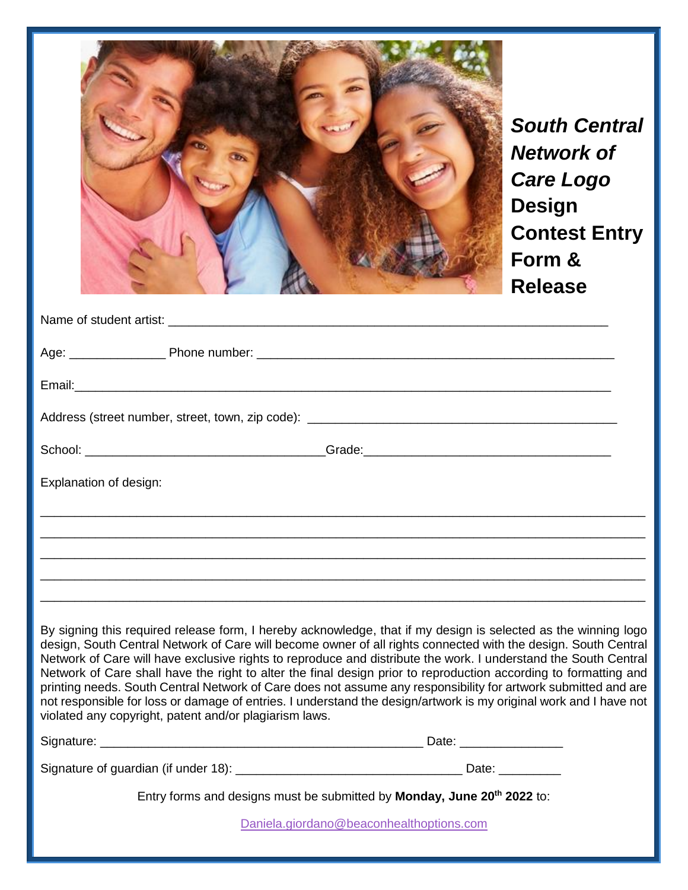|                                                                                                                                                                                                                                                                                                                                                                                                                                                                                                                                                                                                                                                                                                                                                                          |                                                                                                                                                                                                                               | <b>South Central</b><br>Network of<br><b>Care Logo</b><br><b>Design</b><br><b>Contest Entry</b><br>Form &<br><b>Release</b> |
|--------------------------------------------------------------------------------------------------------------------------------------------------------------------------------------------------------------------------------------------------------------------------------------------------------------------------------------------------------------------------------------------------------------------------------------------------------------------------------------------------------------------------------------------------------------------------------------------------------------------------------------------------------------------------------------------------------------------------------------------------------------------------|-------------------------------------------------------------------------------------------------------------------------------------------------------------------------------------------------------------------------------|-----------------------------------------------------------------------------------------------------------------------------|
|                                                                                                                                                                                                                                                                                                                                                                                                                                                                                                                                                                                                                                                                                                                                                                          | Name of student artist: Name of Student and Students and Students and Students and Students and Students and Students and Students and Students and Students and Students and Students and Students and Students and Students |                                                                                                                             |
|                                                                                                                                                                                                                                                                                                                                                                                                                                                                                                                                                                                                                                                                                                                                                                          |                                                                                                                                                                                                                               |                                                                                                                             |
|                                                                                                                                                                                                                                                                                                                                                                                                                                                                                                                                                                                                                                                                                                                                                                          |                                                                                                                                                                                                                               |                                                                                                                             |
|                                                                                                                                                                                                                                                                                                                                                                                                                                                                                                                                                                                                                                                                                                                                                                          |                                                                                                                                                                                                                               |                                                                                                                             |
|                                                                                                                                                                                                                                                                                                                                                                                                                                                                                                                                                                                                                                                                                                                                                                          |                                                                                                                                                                                                                               |                                                                                                                             |
| Explanation of design:                                                                                                                                                                                                                                                                                                                                                                                                                                                                                                                                                                                                                                                                                                                                                   |                                                                                                                                                                                                                               |                                                                                                                             |
|                                                                                                                                                                                                                                                                                                                                                                                                                                                                                                                                                                                                                                                                                                                                                                          |                                                                                                                                                                                                                               |                                                                                                                             |
|                                                                                                                                                                                                                                                                                                                                                                                                                                                                                                                                                                                                                                                                                                                                                                          |                                                                                                                                                                                                                               |                                                                                                                             |
|                                                                                                                                                                                                                                                                                                                                                                                                                                                                                                                                                                                                                                                                                                                                                                          |                                                                                                                                                                                                                               |                                                                                                                             |
|                                                                                                                                                                                                                                                                                                                                                                                                                                                                                                                                                                                                                                                                                                                                                                          |                                                                                                                                                                                                                               |                                                                                                                             |
| By signing this required release form, I hereby acknowledge, that if my design is selected as the winning logo<br>design, South Central Network of Care will become owner of all rights connected with the design. South Central<br>Network of Care will have exclusive rights to reproduce and distribute the work. I understand the South Central<br>Network of Care shall have the right to alter the final design prior to reproduction according to formatting and<br>printing needs. South Central Network of Care does not assume any responsibility for artwork submitted and are<br>not responsible for loss or damage of entries. I understand the design/artwork is my original work and I have not<br>violated any copyright, patent and/or plagiarism laws. |                                                                                                                                                                                                                               |                                                                                                                             |
|                                                                                                                                                                                                                                                                                                                                                                                                                                                                                                                                                                                                                                                                                                                                                                          |                                                                                                                                                                                                                               |                                                                                                                             |
|                                                                                                                                                                                                                                                                                                                                                                                                                                                                                                                                                                                                                                                                                                                                                                          |                                                                                                                                                                                                                               |                                                                                                                             |
| Entry forms and designs must be submitted by Monday, June 20 <sup>th</sup> 2022 to:                                                                                                                                                                                                                                                                                                                                                                                                                                                                                                                                                                                                                                                                                      |                                                                                                                                                                                                                               |                                                                                                                             |
| Daniela.giordano@beaconhealthoptions.com                                                                                                                                                                                                                                                                                                                                                                                                                                                                                                                                                                                                                                                                                                                                 |                                                                                                                                                                                                                               |                                                                                                                             |